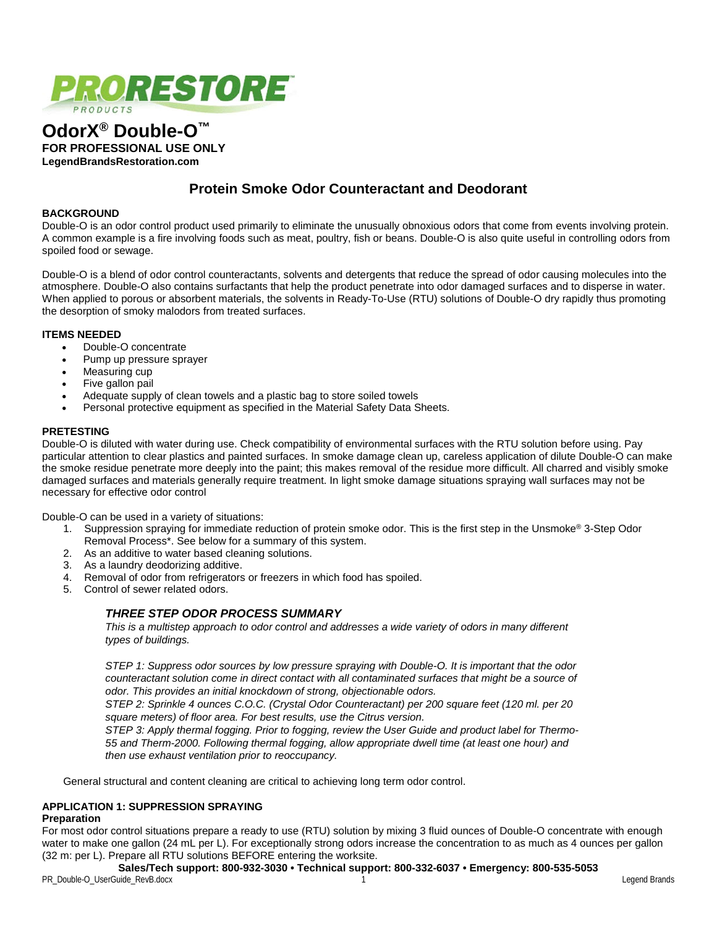

# **OdorX® Double-O™ FOR PROFESSIONAL USE ONLY LegendBrandsRestoration.com**

# **Protein Smoke Odor Counteractant and Deodorant**

#### **BACKGROUND**

Double-O is an odor control product used primarily to eliminate the unusually obnoxious odors that come from events involving protein. A common example is a fire involving foods such as meat, poultry, fish or beans. Double-O is also quite useful in controlling odors from spoiled food or sewage.

Double-O is a blend of odor control counteractants, solvents and detergents that reduce the spread of odor causing molecules into the atmosphere. Double-O also contains surfactants that help the product penetrate into odor damaged surfaces and to disperse in water. When applied to porous or absorbent materials, the solvents in Ready-To-Use (RTU) solutions of Double-O dry rapidly thus promoting the desorption of smoky malodors from treated surfaces.

#### **ITEMS NEEDED**

- Double-O concentrate
- Pump up pressure sprayer
- Measuring cup
- Five gallon pail
- Adequate supply of clean towels and a plastic bag to store soiled towels
- Personal protective equipment as specified in the Material Safety Data Sheets.

### **PRETESTING**

Double-O is diluted with water during use. Check compatibility of environmental surfaces with the RTU solution before using. Pay particular attention to clear plastics and painted surfaces. In smoke damage clean up, careless application of dilute Double-O can make the smoke residue penetrate more deeply into the paint; this makes removal of the residue more difficult. All charred and visibly smoke damaged surfaces and materials generally require treatment. In light smoke damage situations spraying wall surfaces may not be necessary for effective odor control

Double-O can be used in a variety of situations:

- 1. Suppression spraying for immediate reduction of protein smoke odor. This is the first step in the Unsmoke® 3-Step Odor Removal Process\*. See below for a summary of this system.
- 2. As an additive to water based cleaning solutions.
- 3. As a laundry deodorizing additive.
- 4. Removal of odor from refrigerators or freezers in which food has spoiled.
- 5. Control of sewer related odors.

## *THREE STEP ODOR PROCESS SUMMARY*

*This is a multistep approach to odor control and addresses a wide variety of odors in many different types of buildings.*

*STEP 1: Suppress odor sources by low pressure spraying with Double-O. It is important that the odor counteractant solution come in direct contact with all contaminated surfaces that might be a source of odor. This provides an initial knockdown of strong, objectionable odors.* 

*STEP 2: Sprinkle 4 ounces C.O.C. (Crystal Odor Counteractant) per 200 square feet (120 ml. per 20 square meters) of floor area. For best results, use the Citrus version.*

*STEP 3: Apply thermal fogging. Prior to fogging, review the User Guide and product label for Thermo-55 and Therm-2000. Following thermal fogging, allow appropriate dwell time (at least one hour) and then use exhaust ventilation prior to reoccupancy.*

General structural and content cleaning are critical to achieving long term odor control.

#### **APPLICATION 1: SUPPRESSION SPRAYING**

#### **Preparation**

For most odor control situations prepare a ready to use (RTU) solution by mixing 3 fluid ounces of Double-O concentrate with enough water to make one gallon (24 mL per L). For exceptionally strong odors increase the concentration to as much as 4 ounces per gallon (32 m: per L). Prepare all RTU solutions BEFORE entering the worksite.

**Sales/Tech support: 800-932-3030 • Technical support: 800-332-6037 • Emergency: 800-535-5053**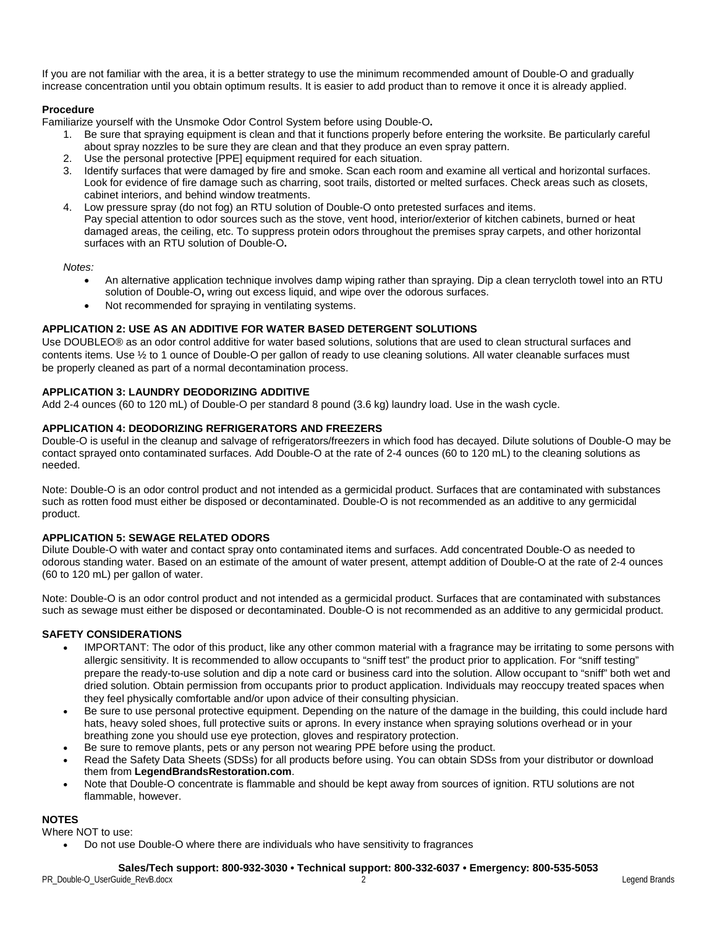If you are not familiar with the area, it is a better strategy to use the minimum recommended amount of Double-O and gradually increase concentration until you obtain optimum results. It is easier to add product than to remove it once it is already applied.

#### **Procedure**

Familiarize yourself with the Unsmoke Odor Control System before using Double-O**.**

- 1. Be sure that spraying equipment is clean and that it functions properly before entering the worksite. Be particularly careful about spray nozzles to be sure they are clean and that they produce an even spray pattern.
- 2. Use the personal protective [PPE] equipment required for each situation.
- 3. Identify surfaces that were damaged by fire and smoke. Scan each room and examine all vertical and horizontal surfaces. Look for evidence of fire damage such as charring, soot trails, distorted or melted surfaces. Check areas such as closets, cabinet interiors, and behind window treatments.
- 4. Low pressure spray (do not fog) an RTU solution of Double-O onto pretested surfaces and items. Pay special attention to odor sources such as the stove, vent hood, interior/exterior of kitchen cabinets, burned or heat damaged areas, the ceiling, etc. To suppress protein odors throughout the premises spray carpets, and other horizontal surfaces with an RTU solution of Double-O**.**

*Notes:*

- An alternative application technique involves damp wiping rather than spraying. Dip a clean terrycloth towel into an RTU solution of Double-O**,** wring out excess liquid, and wipe over the odorous surfaces.
- Not recommended for spraying in ventilating systems.

### **APPLICATION 2: USE AS AN ADDITIVE FOR WATER BASED DETERGENT SOLUTIONS**

Use DOUBLEO® as an odor control additive for water based solutions, solutions that are used to clean structural surfaces and contents items. Use ½ to 1 ounce of Double-O per gallon of ready to use cleaning solutions. All water cleanable surfaces must be properly cleaned as part of a normal decontamination process.

#### **APPLICATION 3: LAUNDRY DEODORIZING ADDITIVE**

Add 2-4 ounces (60 to 120 mL) of Double-O per standard 8 pound (3.6 kg) laundry load. Use in the wash cycle.

#### **APPLICATION 4: DEODORIZING REFRIGERATORS AND FREEZERS**

Double-O is useful in the cleanup and salvage of refrigerators/freezers in which food has decayed. Dilute solutions of Double-O may be contact sprayed onto contaminated surfaces. Add Double-O at the rate of 2-4 ounces (60 to 120 mL) to the cleaning solutions as needed.

Note: Double-O is an odor control product and not intended as a germicidal product. Surfaces that are contaminated with substances such as rotten food must either be disposed or decontaminated. Double-O is not recommended as an additive to any germicidal product.

#### **APPLICATION 5: SEWAGE RELATED ODORS**

Dilute Double-O with water and contact spray onto contaminated items and surfaces. Add concentrated Double-O as needed to odorous standing water. Based on an estimate of the amount of water present, attempt addition of Double-O at the rate of 2-4 ounces (60 to 120 mL) per gallon of water.

Note: Double-O is an odor control product and not intended as a germicidal product. Surfaces that are contaminated with substances such as sewage must either be disposed or decontaminated. Double-O is not recommended as an additive to any germicidal product.

#### **SAFETY CONSIDERATIONS**

- IMPORTANT: The odor of this product, like any other common material with a fragrance may be irritating to some persons with allergic sensitivity. It is recommended to allow occupants to "sniff test" the product prior to application. For "sniff testing" prepare the ready-to-use solution and dip a note card or business card into the solution. Allow occupant to "sniff" both wet and dried solution. Obtain permission from occupants prior to product application. Individuals may reoccupy treated spaces when they feel physically comfortable and/or upon advice of their consulting physician.
- Be sure to use personal protective equipment. Depending on the nature of the damage in the building, this could include hard hats, heavy soled shoes, full protective suits or aprons. In every instance when spraying solutions overhead or in your breathing zone you should use eye protection, gloves and respiratory protection.
- Be sure to remove plants, pets or any person not wearing PPE before using the product.
- Read the Safety Data Sheets (SDSs) for all products before using. You can obtain SDSs from your distributor or download them from **LegendBrandsRestoration.com**.
- Note that Double-O concentrate is flammable and should be kept away from sources of ignition. RTU solutions are not flammable, however.

#### **NOTES**

Where NOT to use:

• Do not use Double-O where there are individuals who have sensitivity to fragrances

#### **Sales/Tech support: 800-932-3030 • Technical support: 800-332-6037 • Emergency: 800-535-5053**

PR\_Double-O\_UserGuide\_RevB.docx 2 Legend Brands